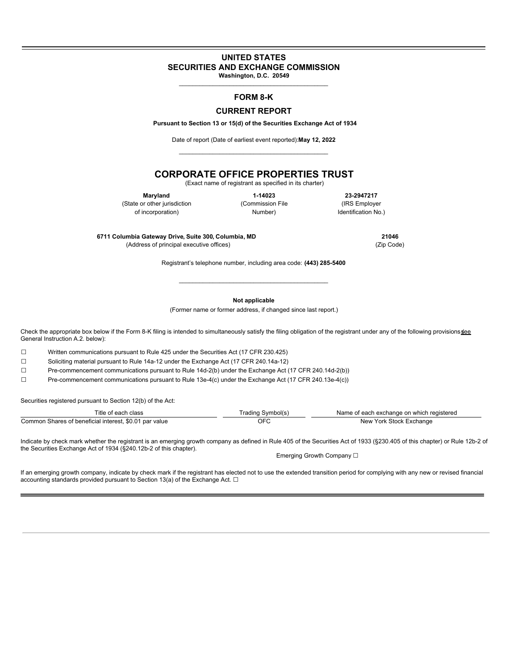## **UNITED STATES SECURITIES AND EXCHANGE COMMISSION Washington, D.C. 20549**

\_\_\_\_\_\_\_\_\_\_\_\_\_\_\_\_\_\_\_\_\_\_\_\_\_\_\_\_\_\_\_\_\_\_\_\_\_\_\_\_\_\_\_\_

# **FORM 8-K**

## **CURRENT REPORT**

**Pursuant to Section 13 or 15(d) of the Securities Exchange Act of 1934**

Date of report (Date of earliest event reported):**May 12, 2022** \_\_\_\_\_\_\_\_\_\_\_\_\_\_\_\_\_\_\_\_\_\_\_\_\_\_\_\_\_\_\_\_\_\_\_\_\_\_\_\_\_\_\_\_

## **CORPORATE OFFICE PROPERTIES TRUST**

(Exact name of registrant as specified in its charter)

(State or other jurisdiction (Commission File (IRS Employer

**Maryland 1-14023 23-2947217** of incorporation) and incorporation  $\mathsf{NumDer}$  and  $\mathsf{NumDer}$  are  $\mathsf{NumDer}$  and  $\mathsf{Num}$ 

**6711 Columbia Gateway Drive, Suite 300, Columbia, MD 21046** (Address of principal executive offices) (Zip Code)

Registrant's telephone number, including area code: **(443) 285-5400** \_\_\_\_\_\_\_\_\_\_\_\_\_\_\_\_\_\_\_\_\_\_\_\_\_\_\_\_\_\_\_\_\_\_\_\_\_\_\_\_\_\_\_\_

**Not applicable**

(Former name or former address, if changed since last report.)

Check the appropriate box below if the Form 8-K filing is intended to simultaneously satisfy the filing obligation of the registrant under any of the following provisions sollections General Instruction A.2. below):

☐ Written communications pursuant to Rule 425 under the Securities Act (17 CFR 230.425)

☐ Soliciting material pursuant to Rule 14a-12 under the Exchange Act (17 CFR 240.14a-12)

☐ Pre-commencement communications pursuant to Rule 14d-2(b) under the Exchange Act (17 CFR 240.14d-2(b))

☐ Pre-commencement communications pursuant to Rule 13e-4(c) under the Exchange Act (17 CFR 240.13e-4(c))

Securities registered pursuant to Section 12(b) of the Act:

| Title<br>cloce<br>പദാാ                                      | Svmbol(s | aistereo<br>Name<br>ana<br>ᇦᆺ<br>са |
|-------------------------------------------------------------|----------|-------------------------------------|
| ∴ommon<br>par value<br>jenetir<br>∴hare.<br>interes<br>- 12 | JF       | nange<br>'nΩrl<br>Nev<br>.stor      |

Indicate by check mark whether the registrant is an emerging growth company as defined in Rule 405 of the Securities Act of 1933 (§230.405 of this chapter) or Rule 12b-2 of the Securities Exchange Act of 1934 (§240.12b-2 of this chapter).

Emerging Growth Company □

If an emerging growth company, indicate by check mark if the registrant has elected not to use the extended transition period for complying with any new or revised financial accounting standards provided pursuant to Section 13(a) of the Exchange Act.  $□$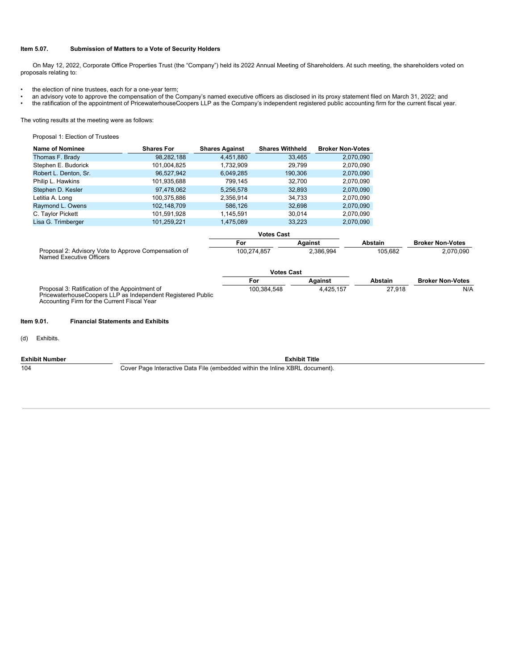#### **Item 5.07. Submission of Matters to a Vote of Security Holders**

On May 12, 2022, Corporate Office Properties Trust (the "Company") held its 2022 Annual Meeting of Shareholders. At such meeting, the shareholders voted on proposals relating to:

- the election of nine trustees, each for a one-year term;
- an advisory vote to approve the compensation of the Company's named executive officers as disclosed in its proxy statement filed on March 31, 2022; and
- the ratification of the appointment of PricewaterhouseCoopers LLP as the Company's independent registered public accounting firm for the current fiscal year.

The voting results at the meeting were as follows:

Proposal 1: Election of Trustees

| Name of Nominee                                                                                                                                              | <b>Shares For</b> | <b>Shares Against</b> | <b>Shares Withheld</b> | <b>Broker Non-Votes</b> |                |                         |
|--------------------------------------------------------------------------------------------------------------------------------------------------------------|-------------------|-----------------------|------------------------|-------------------------|----------------|-------------------------|
| Thomas F. Brady                                                                                                                                              | 98,282,188        | 4,451,880             | 33,465                 | 2,070,090               |                |                         |
| Stephen E. Budorick                                                                                                                                          | 101,004,825       | 1,732,909             | 29,799                 | 2,070,090               |                |                         |
| Robert L. Denton, Sr.                                                                                                                                        | 96,527,942        | 6,049,285             | 190,306                | 2,070,090               |                |                         |
| Philip L. Hawkins                                                                                                                                            | 101,935,688       | 799,145               | 32,700                 | 2,070,090               |                |                         |
| Stephen D. Kesler                                                                                                                                            | 97,478,062        | 5,256,578             | 32,893                 | 2,070,090               |                |                         |
| Letitia A. Long                                                                                                                                              | 100,375,886       | 2,356,914             | 34,733                 | 2,070,090               |                |                         |
| Raymond L. Owens                                                                                                                                             | 102,148,709       | 586,126               | 32,698                 | 2,070,090               |                |                         |
| C. Taylor Pickett                                                                                                                                            | 101,591,928       | 1,145,591             | 30,014                 | 2,070,090               |                |                         |
| Lisa G. Trimberger                                                                                                                                           | 101,259,221       | 1,475,089             | 33,223                 | 2,070,090               |                |                         |
|                                                                                                                                                              |                   |                       | <b>Votes Cast</b>      |                         |                |                         |
|                                                                                                                                                              |                   | For                   | Against                |                         | <b>Abstain</b> | <b>Broker Non-Votes</b> |
| Proposal 2: Advisory Vote to Approve Compensation of<br>Named Executive Officers                                                                             |                   | 100,274,857           |                        | 2,386,994               | 105,682        | 2,070,090               |
|                                                                                                                                                              |                   | <b>Votes Cast</b>     |                        |                         |                |                         |
|                                                                                                                                                              |                   | For                   |                        | Against                 | <b>Abstain</b> | <b>Broker Non-Votes</b> |
| Proposal 3: Ratification of the Appointment of<br>PricewaterhouseCoopers LLP as Independent Registered Public<br>Accounting Firm for the Current Fiscal Year |                   |                       | 100,384,548            | 4,425,157               | 27,918         | N/A                     |
| <b>Financial Statements and Exhibits</b><br>ltem 9.01.                                                                                                       |                   |                       |                        |                         |                |                         |
| $\mathcal{L}(\mathbf{A}) = \mathbf{B} \mathbf{B} + \mathbf{B} \mathbf{A} + \mathbf{B} \mathbf{A}$                                                            |                   |                       |                        |                         |                |                         |

(d) Exhibits.

**Exhibit Number Exhibit Title**

104 Cover Page Interactive Data File (embedded within the Inline XBRL document).